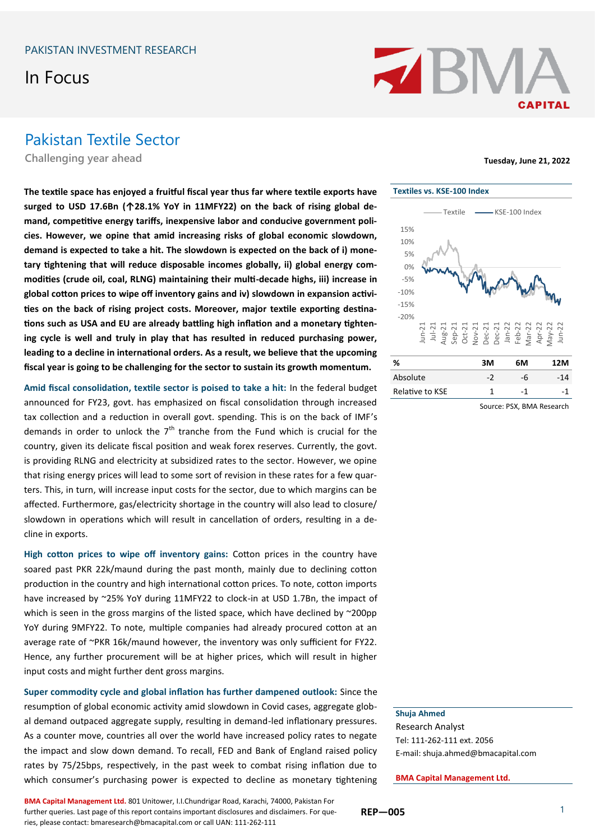# In Focus



#### Pakistan Textile Sector

**Challenging year ahead Tuesday, June 21, 2022**

**The textile space has enjoyed a fruitful fiscal year thus far where textile exports have surged to USD 17.6Bn (↑28.1% YoY in 11MFY22) on the back of rising global demand, competitive energy tariffs, inexpensive labor and conducive government policies. However, we opine that amid increasing risks of global economic slowdown, demand is expected to take a hit. The slowdown is expected on the back of i) monetary tightening that will reduce disposable incomes globally, ii) global energy commodities (crude oil, coal, RLNG) maintaining their multi-decade highs, iii) increase in global cotton prices to wipe off inventory gains and iv) slowdown in expansion activities on the back of rising project costs. Moreover, major textile exporting destinations such as USA and EU are already battling high inflation and a monetary tightening cycle is well and truly in play that has resulted in reduced purchasing power, leading to a decline in international orders. As a result, we believe that the upcoming fiscal year is going to be challenging for the sector to sustain its growth momentum.**

**Amid fiscal consolidation, textile sector is poised to take a hit:** In the federal budget announced for FY23, govt. has emphasized on fiscal consolidation through increased tax collection and a reduction in overall govt. spending. This is on the back of IMF's demands in order to unlock the  $7<sup>th</sup>$  tranche from the Fund which is crucial for the country, given its delicate fiscal position and weak forex reserves. Currently, the govt. is providing RLNG and electricity at subsidized rates to the sector. However, we opine that rising energy prices will lead to some sort of revision in these rates for a few quarters. This, in turn, will increase input costs for the sector, due to which margins can be affected. Furthermore, gas/electricity shortage in the country will also lead to closure/ slowdown in operations which will result in cancellation of orders, resulting in a decline in exports.

**High cotton prices to wipe off inventory gains:** Cotton prices in the country have soared past PKR 22k/maund during the past month, mainly due to declining cotton production in the country and high international cotton prices. To note, cotton imports have increased by ~25% YoY during 11MFY22 to clock-in at USD 1.7Bn, the impact of which is seen in the gross margins of the listed space, which have declined by ~200pp YoY during 9MFY22. To note, multiple companies had already procured cotton at an average rate of ~PKR 16k/maund however, the inventory was only sufficient for FY22. Hence, any further procurement will be at higher prices, which will result in higher input costs and might further dent gross margins.

**Super commodity cycle and global inflation has further dampened outlook:** Since the resumption of global economic activity amid slowdown in Covid cases, aggregate global demand outpaced aggregate supply, resulting in demand-led inflationary pressures. As a counter move, countries all over the world have increased policy rates to negate the impact and slow down demand. To recall, FED and Bank of England raised policy rates by 75/25bps, respectively, in the past week to combat rising inflation due to which consumer's purchasing power is expected to decline as monetary tightening

**BMA Capital Management Ltd.** 801 Unitower, I.I.Chundrigar Road, Karachi, 74000, Pakistan For further queries. Last page of this report contains important disclosures and disclaimers. For queries, please contact: bmaresearch@bmacapital.com or call UAN: 111-262-111



| %               | зм  | 6М | 12M |
|-----------------|-----|----|-----|
| Absolute        | - 2 | -h | -14 |
| Relative to KSE |     | -1 | -1  |

Source: PSX, BMA Research

#### **Shuja Ahmed**

Research Analyst Tel: 111-262-111 ext. 2056 E-mail: shuja.ahmed@bmacapital.com

**BMA Capital Management Ltd.**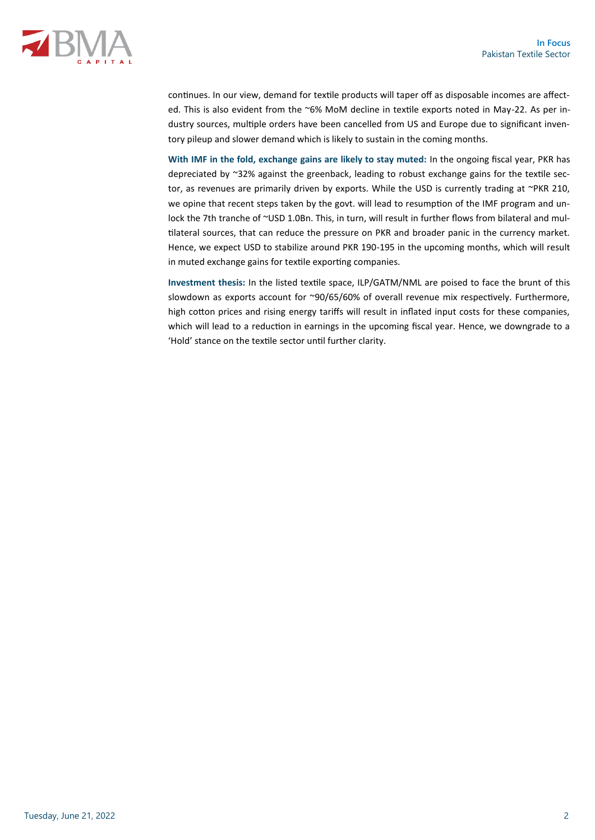

continues. In our view, demand for textile products will taper off as disposable incomes are affected. This is also evident from the ~6% MoM decline in textile exports noted in May-22. As per industry sources, multiple orders have been cancelled from US and Europe due to significant inventory pileup and slower demand which is likely to sustain in the coming months.

**With IMF in the fold, exchange gains are likely to stay muted:** In the ongoing fiscal year, PKR has depreciated by ~32% against the greenback, leading to robust exchange gains for the textile sector, as revenues are primarily driven by exports. While the USD is currently trading at ~PKR 210, we opine that recent steps taken by the govt. will lead to resumption of the IMF program and unlock the 7th tranche of ~USD 1.0Bn. This, in turn, will result in further flows from bilateral and multilateral sources, that can reduce the pressure on PKR and broader panic in the currency market. Hence, we expect USD to stabilize around PKR 190-195 in the upcoming months, which will result in muted exchange gains for textile exporting companies.

**Investment thesis:** In the listed textile space, ILP/GATM/NML are poised to face the brunt of this slowdown as exports account for ~90/65/60% of overall revenue mix respectively. Furthermore, high cotton prices and rising energy tariffs will result in inflated input costs for these companies, which will lead to a reduction in earnings in the upcoming fiscal year. Hence, we downgrade to a 'Hold' stance on the textile sector until further clarity.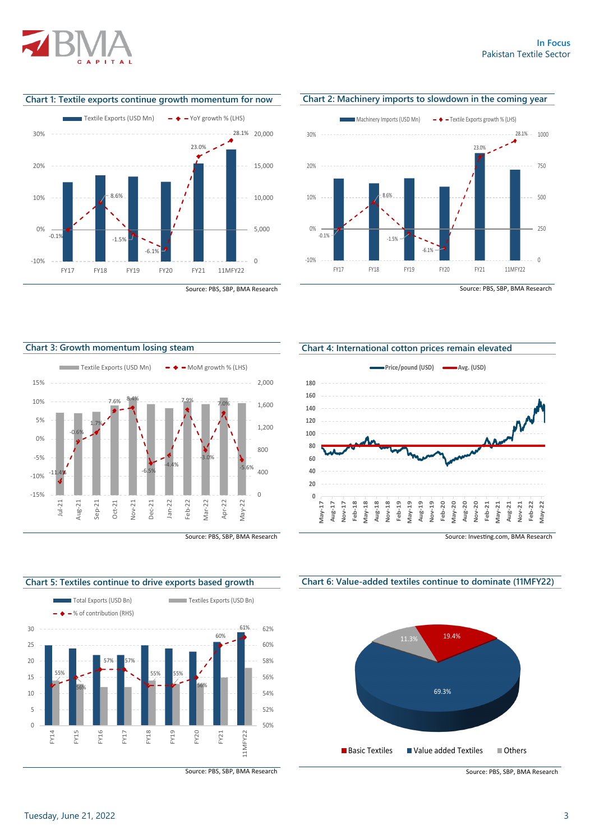

**Chart 1: Textile exports continue growth momentum for now** 





**Chart 2: Machinery imports to slowdown in the coming year**

Source: PBS, SBP, BMA Research









Source: PBS, SBP, BMA Research

**Chart 4: International cotton prices remain elevated**



Source: Investing.com, BMA Research

**Chart 6: Value-added textiles continue to dominate (11MFY22)**



Source: PBS, SBP, BMA Research